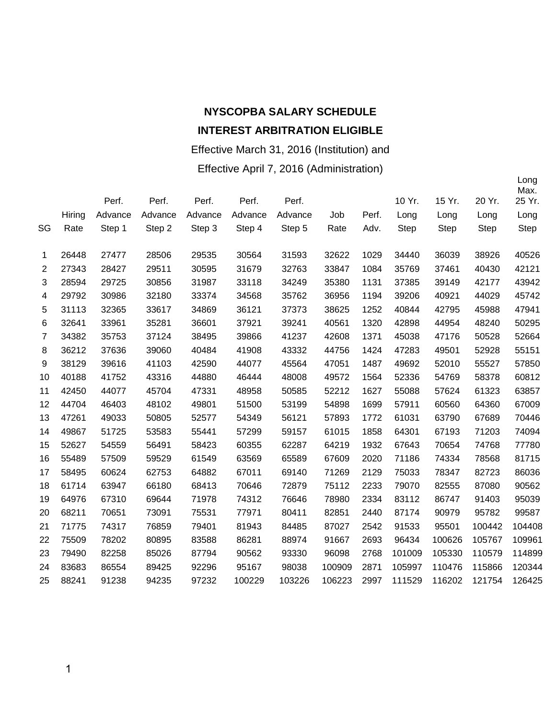#### Effective March 31, 2016 (Institution) and

Effective April 7, 2016 (Administration)

|                |        |         |         |         |         |         |        |       |             |             |             | Max.   |
|----------------|--------|---------|---------|---------|---------|---------|--------|-------|-------------|-------------|-------------|--------|
|                |        | Perf.   | Perf.   | Perf.   | Perf.   | Perf.   |        |       | 10 Yr.      | 15 Yr.      | 20 Yr.      | 25 Yr. |
|                | Hiring | Advance | Advance | Advance | Advance | Advance | Job    | Perf. | Long        | Long        | Long        | Long   |
| SG             | Rate   | Step 1  | Step 2  | Step 3  | Step 4  | Step 5  | Rate   | Adv.  | <b>Step</b> | <b>Step</b> | <b>Step</b> | Step   |
|                | 26448  | 27477   | 28506   | 29535   | 30564   | 31593   | 32622  | 1029  | 34440       | 36039       | 38926       | 40526  |
| 1              |        |         |         |         |         |         |        |       |             |             |             |        |
| 2              | 27343  | 28427   | 29511   | 30595   | 31679   | 32763   | 33847  | 1084  | 35769       | 37461       | 40430       | 42121  |
| 3              | 28594  | 29725   | 30856   | 31987   | 33118   | 34249   | 35380  | 1131  | 37385       | 39149       | 42177       | 43942  |
| 4              | 29792  | 30986   | 32180   | 33374   | 34568   | 35762   | 36956  | 1194  | 39206       | 40921       | 44029       | 45742  |
| 5              | 31113  | 32365   | 33617   | 34869   | 36121   | 37373   | 38625  | 1252  | 40844       | 42795       | 45988       | 47941  |
| 6              | 32641  | 33961   | 35281   | 36601   | 37921   | 39241   | 40561  | 1320  | 42898       | 44954       | 48240       | 50295  |
| $\overline{7}$ | 34382  | 35753   | 37124   | 38495   | 39866   | 41237   | 42608  | 1371  | 45038       | 47176       | 50528       | 52664  |
| 8              | 36212  | 37636   | 39060   | 40484   | 41908   | 43332   | 44756  | 1424  | 47283       | 49501       | 52928       | 55151  |
| 9              | 38129  | 39616   | 41103   | 42590   | 44077   | 45564   | 47051  | 1487  | 49692       | 52010       | 55527       | 57850  |
| 10             | 40188  | 41752   | 43316   | 44880   | 46444   | 48008   | 49572  | 1564  | 52336       | 54769       | 58378       | 60812  |
| 11             | 42450  | 44077   | 45704   | 47331   | 48958   | 50585   | 52212  | 1627  | 55088       | 57624       | 61323       | 63857  |
| 12             | 44704  | 46403   | 48102   | 49801   | 51500   | 53199   | 54898  | 1699  | 57911       | 60560       | 64360       | 67009  |
| 13             | 47261  | 49033   | 50805   | 52577   | 54349   | 56121   | 57893  | 1772  | 61031       | 63790       | 67689       | 70446  |
| 14             | 49867  | 51725   | 53583   | 55441   | 57299   | 59157   | 61015  | 1858  | 64301       | 67193       | 71203       | 74094  |
| 15             | 52627  | 54559   | 56491   | 58423   | 60355   | 62287   | 64219  | 1932  | 67643       | 70654       | 74768       | 77780  |
| 16             | 55489  | 57509   | 59529   | 61549   | 63569   | 65589   | 67609  | 2020  | 71186       | 74334       | 78568       | 81715  |
| 17             | 58495  | 60624   | 62753   | 64882   | 67011   | 69140   | 71269  | 2129  | 75033       | 78347       | 82723       | 86036  |
| 18             | 61714  | 63947   | 66180   | 68413   | 70646   | 72879   | 75112  | 2233  | 79070       | 82555       | 87080       | 90562  |
| 19             | 64976  | 67310   | 69644   | 71978   | 74312   | 76646   | 78980  | 2334  | 83112       | 86747       | 91403       | 95039  |
| 20             | 68211  | 70651   | 73091   | 75531   | 77971   | 80411   | 82851  | 2440  | 87174       | 90979       | 95782       | 99587  |
| 21             | 71775  | 74317   | 76859   | 79401   | 81943   | 84485   | 87027  | 2542  | 91533       | 95501       | 100442      | 104408 |
| 22             | 75509  | 78202   | 80895   | 83588   | 86281   | 88974   | 91667  | 2693  | 96434       | 100626      | 105767      | 109961 |
| 23             | 79490  | 82258   | 85026   | 87794   | 90562   | 93330   | 96098  | 2768  | 101009      | 105330      | 110579      | 114899 |
| 24             | 83683  | 86554   | 89425   | 92296   | 95167   | 98038   | 100909 | 2871  | 105997      | 110476      | 115866      | 120344 |
| 25             | 88241  | 91238   | 94235   | 97232   | 100229  | 103226  | 106223 | 2997  | 111529      | 116202      | 121754      | 126425 |
|                |        |         |         |         |         |         |        |       |             |             |             |        |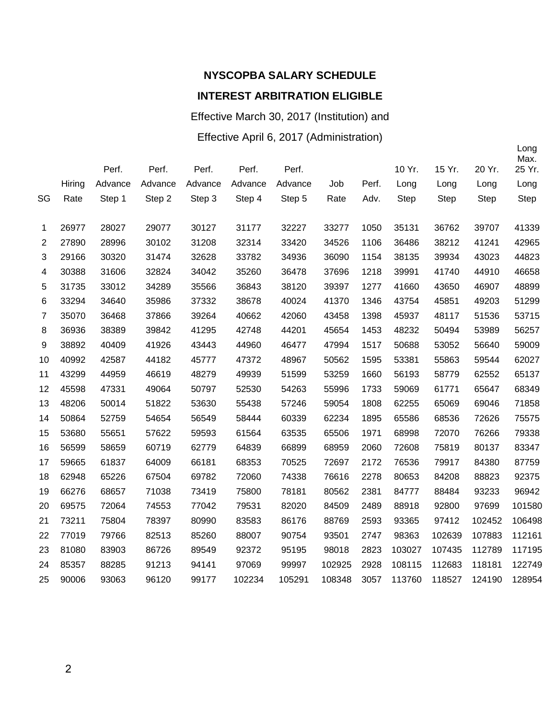## Effective March 30, 2017 (Institution) and

### Effective April 6, 2017 (Administration)

|                |        |         |         |         |         |         |        |       |             |             |             | Long<br>Max. |
|----------------|--------|---------|---------|---------|---------|---------|--------|-------|-------------|-------------|-------------|--------------|
|                |        | Perf.   | Perf.   | Perf.   | Perf.   | Perf.   |        |       | 10 Yr.      | 15 Yr.      | 20 Yr.      | 25 Yr.       |
|                | Hiring | Advance | Advance | Advance | Advance | Advance | Job    | Perf. | Long        | Long        | Long        | Long         |
| SG             | Rate   | Step 1  | Step 2  | Step 3  | Step 4  | Step 5  | Rate   | Adv.  | <b>Step</b> | <b>Step</b> | <b>Step</b> | <b>Step</b>  |
| 1              | 26977  | 28027   | 29077   | 30127   | 31177   | 32227   | 33277  | 1050  | 35131       | 36762       | 39707       | 41339        |
| 2              | 27890  | 28996   | 30102   | 31208   | 32314   | 33420   | 34526  | 1106  | 36486       | 38212       | 41241       | 42965        |
| 3              | 29166  | 30320   | 31474   | 32628   | 33782   | 34936   | 36090  | 1154  | 38135       | 39934       | 43023       | 44823        |
| 4              | 30388  | 31606   | 32824   | 34042   | 35260   | 36478   | 37696  | 1218  | 39991       | 41740       | 44910       | 46658        |
| 5              | 31735  | 33012   | 34289   | 35566   | 36843   | 38120   | 39397  | 1277  | 41660       | 43650       | 46907       | 48899        |
| 6              | 33294  | 34640   | 35986   | 37332   | 38678   | 40024   | 41370  | 1346  | 43754       | 45851       | 49203       | 51299        |
| $\overline{7}$ | 35070  | 36468   | 37866   | 39264   | 40662   | 42060   | 43458  | 1398  | 45937       | 48117       | 51536       | 53715        |
| 8              | 36936  | 38389   | 39842   | 41295   | 42748   | 44201   | 45654  | 1453  | 48232       | 50494       | 53989       | 56257        |
| 9              | 38892  | 40409   | 41926   | 43443   | 44960   | 46477   | 47994  | 1517  | 50688       | 53052       | 56640       | 59009        |
| 10             | 40992  | 42587   | 44182   | 45777   | 47372   | 48967   | 50562  | 1595  | 53381       | 55863       | 59544       | 62027        |
| 11             | 43299  | 44959   | 46619   | 48279   | 49939   | 51599   | 53259  | 1660  | 56193       | 58779       | 62552       | 65137        |
| 12             | 45598  | 47331   | 49064   | 50797   | 52530   | 54263   | 55996  | 1733  | 59069       | 61771       | 65647       | 68349        |
| 13             | 48206  | 50014   | 51822   | 53630   | 55438   | 57246   | 59054  | 1808  | 62255       | 65069       | 69046       | 71858        |
| 14             | 50864  | 52759   | 54654   | 56549   | 58444   | 60339   | 62234  | 1895  | 65586       | 68536       | 72626       | 75575        |
| 15             | 53680  | 55651   | 57622   | 59593   | 61564   | 63535   | 65506  | 1971  | 68998       | 72070       | 76266       | 79338        |
| 16             | 56599  | 58659   | 60719   | 62779   | 64839   | 66899   | 68959  | 2060  | 72608       | 75819       | 80137       | 83347        |
| 17             | 59665  | 61837   | 64009   | 66181   | 68353   | 70525   | 72697  | 2172  | 76536       | 79917       | 84380       | 87759        |
| 18             | 62948  | 65226   | 67504   | 69782   | 72060   | 74338   | 76616  | 2278  | 80653       | 84208       | 88823       | 92375        |
| 19             | 66276  | 68657   | 71038   | 73419   | 75800   | 78181   | 80562  | 2381  | 84777       | 88484       | 93233       | 96942        |
| 20             | 69575  | 72064   | 74553   | 77042   | 79531   | 82020   | 84509  | 2489  | 88918       | 92800       | 97699       | 101580       |
| 21             | 73211  | 75804   | 78397   | 80990   | 83583   | 86176   | 88769  | 2593  | 93365       | 97412       | 102452      | 106498       |
| 22             | 77019  | 79766   | 82513   | 85260   | 88007   | 90754   | 93501  | 2747  | 98363       | 102639      | 107883      | 112161       |
| 23             | 81080  | 83903   | 86726   | 89549   | 92372   | 95195   | 98018  | 2823  | 103027      | 107435      | 112789      | 117195       |
| 24             | 85357  | 88285   | 91213   | 94141   | 97069   | 99997   | 102925 | 2928  | 108115      | 112683      | 118181      | 122749       |
| 25             | 90006  | 93063   | 96120   | 99177   | 102234  | 105291  | 108348 | 3057  | 113760      | 118527      | 124190      | 128954       |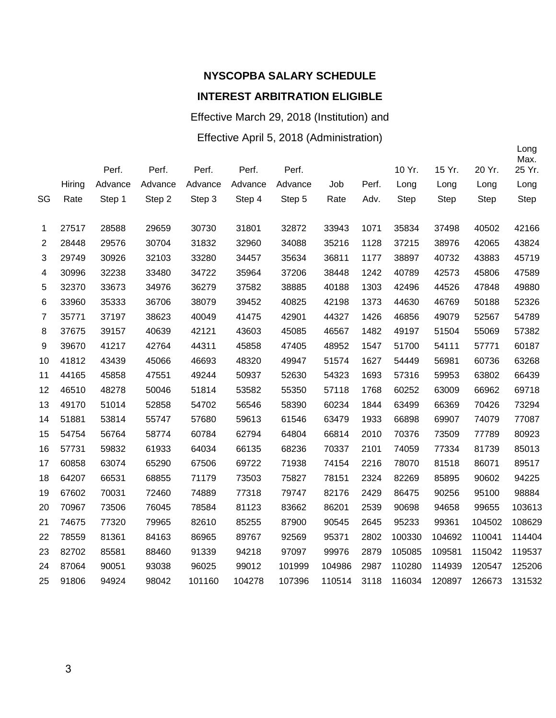### Effective March 29, 2018 (Institution) and

### Effective April 5, 2018 (Administration)

|                |        | Perf.   | Perf.   | Perf.   | Perf.   | Perf.   |        |       | 10 Yr. | 15 Yr.      | 20 Yr.      | Long<br>Max.<br>25 Yr. |
|----------------|--------|---------|---------|---------|---------|---------|--------|-------|--------|-------------|-------------|------------------------|
|                | Hiring | Advance | Advance | Advance | Advance | Advance | Job    | Perf. | Long   | Long        | Long        | Long                   |
| SG             | Rate   | Step 1  | Step 2  | Step 3  | Step 4  | Step 5  | Rate   | Adv.  | Step   | <b>Step</b> | <b>Step</b> | <b>Step</b>            |
| 1              | 27517  | 28588   | 29659   | 30730   | 31801   | 32872   | 33943  | 1071  | 35834  | 37498       | 40502       | 42166                  |
| $\overline{2}$ | 28448  | 29576   | 30704   | 31832   | 32960   | 34088   | 35216  | 1128  | 37215  | 38976       | 42065       | 43824                  |
| 3              | 29749  | 30926   | 32103   | 33280   | 34457   | 35634   | 36811  | 1177  | 38897  | 40732       | 43883       | 45719                  |
| 4              | 30996  | 32238   | 33480   | 34722   | 35964   | 37206   | 38448  | 1242  | 40789  | 42573       | 45806       | 47589                  |
| 5              | 32370  | 33673   | 34976   | 36279   | 37582   | 38885   | 40188  | 1303  | 42496  | 44526       | 47848       | 49880                  |
| 6              | 33960  | 35333   | 36706   | 38079   | 39452   | 40825   | 42198  | 1373  | 44630  | 46769       | 50188       | 52326                  |
| $\overline{7}$ | 35771  | 37197   | 38623   | 40049   | 41475   | 42901   | 44327  | 1426  | 46856  | 49079       | 52567       | 54789                  |
| 8              | 37675  | 39157   | 40639   | 42121   | 43603   | 45085   | 46567  | 1482  | 49197  | 51504       | 55069       | 57382                  |
| 9              | 39670  | 41217   | 42764   | 44311   | 45858   | 47405   | 48952  | 1547  | 51700  | 54111       | 57771       | 60187                  |
| 10             | 41812  | 43439   | 45066   | 46693   | 48320   | 49947   | 51574  | 1627  | 54449  | 56981       | 60736       | 63268                  |
| 11             | 44165  | 45858   | 47551   | 49244   | 50937   | 52630   | 54323  | 1693  | 57316  | 59953       | 63802       | 66439                  |
| 12             | 46510  | 48278   | 50046   | 51814   | 53582   | 55350   | 57118  | 1768  | 60252  | 63009       | 66962       | 69718                  |
| 13             | 49170  | 51014   | 52858   | 54702   | 56546   | 58390   | 60234  | 1844  | 63499  | 66369       | 70426       | 73294                  |
| 14             | 51881  | 53814   | 55747   | 57680   | 59613   | 61546   | 63479  | 1933  | 66898  | 69907       | 74079       | 77087                  |
| 15             | 54754  | 56764   | 58774   | 60784   | 62794   | 64804   | 66814  | 2010  | 70376  | 73509       | 77789       | 80923                  |
| 16             | 57731  | 59832   | 61933   | 64034   | 66135   | 68236   | 70337  | 2101  | 74059  | 77334       | 81739       | 85013                  |
| 17             | 60858  | 63074   | 65290   | 67506   | 69722   | 71938   | 74154  | 2216  | 78070  | 81518       | 86071       | 89517                  |
| 18             | 64207  | 66531   | 68855   | 71179   | 73503   | 75827   | 78151  | 2324  | 82269  | 85895       | 90602       | 94225                  |
| 19             | 67602  | 70031   | 72460   | 74889   | 77318   | 79747   | 82176  | 2429  | 86475  | 90256       | 95100       | 98884                  |
| 20             | 70967  | 73506   | 76045   | 78584   | 81123   | 83662   | 86201  | 2539  | 90698  | 94658       | 99655       | 103613                 |
| 21             | 74675  | 77320   | 79965   | 82610   | 85255   | 87900   | 90545  | 2645  | 95233  | 99361       | 104502      | 108629                 |
| 22             | 78559  | 81361   | 84163   | 86965   | 89767   | 92569   | 95371  | 2802  | 100330 | 104692      | 110041      | 114404                 |
| 23             | 82702  | 85581   | 88460   | 91339   | 94218   | 97097   | 99976  | 2879  | 105085 | 109581      | 115042      | 119537                 |
| 24             | 87064  | 90051   | 93038   | 96025   | 99012   | 101999  | 104986 | 2987  | 110280 | 114939      | 120547      | 125206                 |
| 25             | 91806  | 94924   | 98042   | 101160  | 104278  | 107396  | 110514 | 3118  | 116034 | 120897      | 126673      | 131532                 |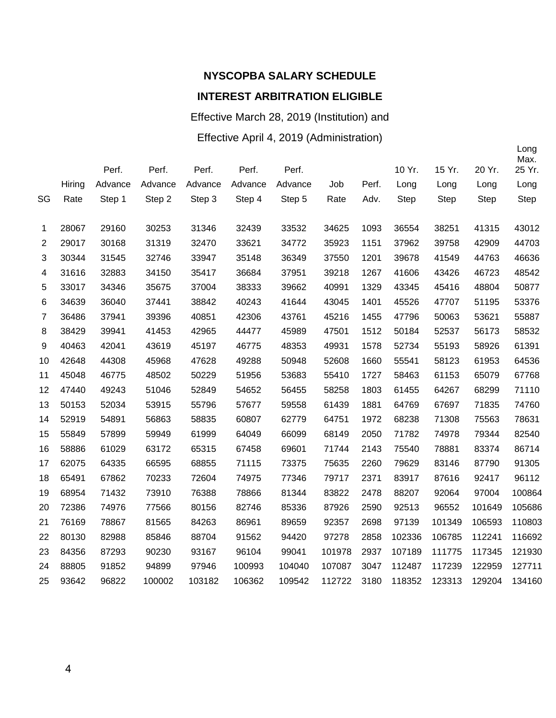Effective March 28, 2019 (Institution) and

### Effective April 4, 2019 (Administration)

|                |        | Perf.   | Perf.   | Perf.   | Perf.   | Perf.   |        |       | 10 Yr. | 15 Yr.      | 20 Yr.      | Long<br>Max.<br>25 Yr. |
|----------------|--------|---------|---------|---------|---------|---------|--------|-------|--------|-------------|-------------|------------------------|
|                | Hiring | Advance | Advance | Advance | Advance | Advance | Job    | Perf. | Long   | Long        | Long        | Long                   |
| SG             | Rate   | Step 1  | Step 2  | Step 3  | Step 4  | Step 5  | Rate   | Adv.  | Step   | <b>Step</b> | <b>Step</b> | <b>Step</b>            |
| 1              | 28067  | 29160   | 30253   | 31346   | 32439   | 33532   | 34625  | 1093  | 36554  | 38251       | 41315       | 43012                  |
| $\overline{2}$ | 29017  | 30168   | 31319   | 32470   | 33621   | 34772   | 35923  | 1151  | 37962  | 39758       | 42909       | 44703                  |
| 3              | 30344  | 31545   | 32746   | 33947   | 35148   | 36349   | 37550  | 1201  | 39678  | 41549       | 44763       | 46636                  |
| 4              | 31616  | 32883   | 34150   | 35417   | 36684   | 37951   | 39218  | 1267  | 41606  | 43426       | 46723       | 48542                  |
| 5              | 33017  | 34346   | 35675   | 37004   | 38333   | 39662   | 40991  | 1329  | 43345  | 45416       | 48804       | 50877                  |
| 6              | 34639  | 36040   | 37441   | 38842   | 40243   | 41644   | 43045  | 1401  | 45526  | 47707       | 51195       | 53376                  |
| $\overline{7}$ | 36486  | 37941   | 39396   | 40851   | 42306   | 43761   | 45216  | 1455  | 47796  | 50063       | 53621       | 55887                  |
| 8              | 38429  | 39941   | 41453   | 42965   | 44477   | 45989   | 47501  | 1512  | 50184  | 52537       | 56173       | 58532                  |
| 9              | 40463  | 42041   | 43619   | 45197   | 46775   | 48353   | 49931  | 1578  | 52734  | 55193       | 58926       | 61391                  |
| 10             | 42648  | 44308   | 45968   | 47628   | 49288   | 50948   | 52608  | 1660  | 55541  | 58123       | 61953       | 64536                  |
| 11             | 45048  | 46775   | 48502   | 50229   | 51956   | 53683   | 55410  | 1727  | 58463  | 61153       | 65079       | 67768                  |
| 12             | 47440  | 49243   | 51046   | 52849   | 54652   | 56455   | 58258  | 1803  | 61455  | 64267       | 68299       | 71110                  |
| 13             | 50153  | 52034   | 53915   | 55796   | 57677   | 59558   | 61439  | 1881  | 64769  | 67697       | 71835       | 74760                  |
| 14             | 52919  | 54891   | 56863   | 58835   | 60807   | 62779   | 64751  | 1972  | 68238  | 71308       | 75563       | 78631                  |
| 15             | 55849  | 57899   | 59949   | 61999   | 64049   | 66099   | 68149  | 2050  | 71782  | 74978       | 79344       | 82540                  |
| 16             | 58886  | 61029   | 63172   | 65315   | 67458   | 69601   | 71744  | 2143  | 75540  | 78881       | 83374       | 86714                  |
| 17             | 62075  | 64335   | 66595   | 68855   | 71115   | 73375   | 75635  | 2260  | 79629  | 83146       | 87790       | 91305                  |
| 18             | 65491  | 67862   | 70233   | 72604   | 74975   | 77346   | 79717  | 2371  | 83917  | 87616       | 92417       | 96112                  |
| 19             | 68954  | 71432   | 73910   | 76388   | 78866   | 81344   | 83822  | 2478  | 88207  | 92064       | 97004       | 100864                 |
| 20             | 72386  | 74976   | 77566   | 80156   | 82746   | 85336   | 87926  | 2590  | 92513  | 96552       | 101649      | 105686                 |
| 21             | 76169  | 78867   | 81565   | 84263   | 86961   | 89659   | 92357  | 2698  | 97139  | 101349      | 106593      | 110803                 |
| 22             | 80130  | 82988   | 85846   | 88704   | 91562   | 94420   | 97278  | 2858  | 102336 | 106785      | 112241      | 116692                 |
| 23             | 84356  | 87293   | 90230   | 93167   | 96104   | 99041   | 101978 | 2937  | 107189 | 111775      | 117345      | 121930                 |
| 24             | 88805  | 91852   | 94899   | 97946   | 100993  | 104040  | 107087 | 3047  | 112487 | 117239      | 122959      | 127711                 |
| 25             | 93642  | 96822   | 100002  | 103182  | 106362  | 109542  | 112722 | 3180  | 118352 | 123313      | 129204      | 134160                 |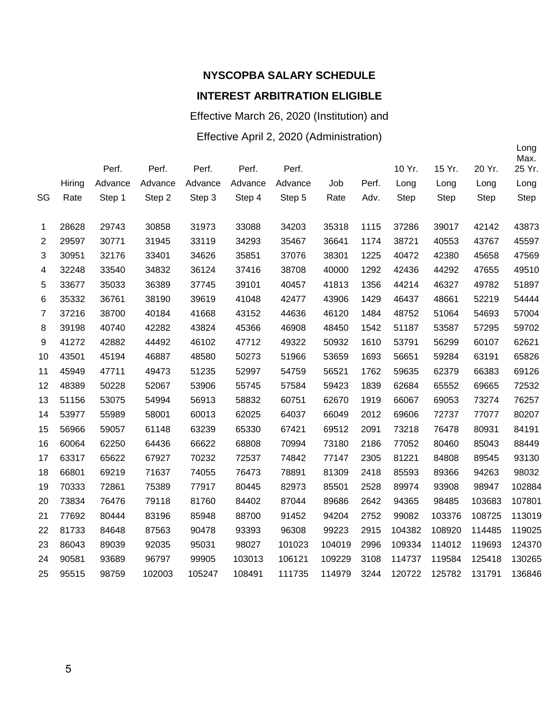Effective March 26, 2020 (Institution) and Effective April 2, 2020 (Administration)

|                |        |         |         |         |         |         |        |       |             |             |             | Long<br>Max. |
|----------------|--------|---------|---------|---------|---------|---------|--------|-------|-------------|-------------|-------------|--------------|
|                |        | Perf.   | Perf.   | Perf.   | Perf.   | Perf.   |        |       | 10 Yr.      | 15 Yr.      | 20 Yr.      | 25 Yr.       |
|                | Hiring | Advance | Advance | Advance | Advance | Advance | Job    | Perf. | Long        | Long        | Long        | Long         |
| SG             | Rate   | Step 1  | Step 2  | Step 3  | Step 4  | Step 5  | Rate   | Adv.  | <b>Step</b> | <b>Step</b> | <b>Step</b> | <b>Step</b>  |
| 1              | 28628  | 29743   | 30858   | 31973   | 33088   | 34203   | 35318  | 1115  | 37286       | 39017       | 42142       | 43873        |
| $\overline{2}$ | 29597  | 30771   | 31945   | 33119   | 34293   | 35467   | 36641  | 1174  | 38721       | 40553       | 43767       | 45597        |
| 3              | 30951  | 32176   | 33401   | 34626   | 35851   | 37076   | 38301  | 1225  | 40472       | 42380       | 45658       | 47569        |
| 4              | 32248  | 33540   | 34832   | 36124   | 37416   | 38708   | 40000  | 1292  | 42436       | 44292       | 47655       | 49510        |
| 5              | 33677  | 35033   | 36389   | 37745   | 39101   | 40457   | 41813  | 1356  | 44214       | 46327       | 49782       | 51897        |
| 6              | 35332  | 36761   | 38190   | 39619   | 41048   | 42477   | 43906  | 1429  | 46437       | 48661       | 52219       | 54444        |
| 7              | 37216  | 38700   | 40184   | 41668   | 43152   | 44636   | 46120  | 1484  | 48752       | 51064       | 54693       | 57004        |
| 8              | 39198  | 40740   | 42282   | 43824   | 45366   | 46908   | 48450  | 1542  | 51187       | 53587       | 57295       | 59702        |
| 9              | 41272  | 42882   | 44492   | 46102   | 47712   | 49322   | 50932  | 1610  | 53791       | 56299       | 60107       | 62621        |
| 10             | 43501  | 45194   | 46887   | 48580   | 50273   | 51966   | 53659  | 1693  | 56651       | 59284       | 63191       | 65826        |
| 11             | 45949  | 47711   | 49473   | 51235   | 52997   | 54759   | 56521  | 1762  | 59635       | 62379       | 66383       | 69126        |
| 12             | 48389  | 50228   | 52067   | 53906   | 55745   | 57584   | 59423  | 1839  | 62684       | 65552       | 69665       | 72532        |
| 13             | 51156  | 53075   | 54994   | 56913   | 58832   | 60751   | 62670  | 1919  | 66067       | 69053       | 73274       | 76257        |
| 14             | 53977  | 55989   | 58001   | 60013   | 62025   | 64037   | 66049  | 2012  | 69606       | 72737       | 77077       | 80207        |
| 15             | 56966  | 59057   | 61148   | 63239   | 65330   | 67421   | 69512  | 2091  | 73218       | 76478       | 80931       | 84191        |
| 16             | 60064  | 62250   | 64436   | 66622   | 68808   | 70994   | 73180  | 2186  | 77052       | 80460       | 85043       | 88449        |
| 17             | 63317  | 65622   | 67927   | 70232   | 72537   | 74842   | 77147  | 2305  | 81221       | 84808       | 89545       | 93130        |
| 18             | 66801  | 69219   | 71637   | 74055   | 76473   | 78891   | 81309  | 2418  | 85593       | 89366       | 94263       | 98032        |
| 19             | 70333  | 72861   | 75389   | 77917   | 80445   | 82973   | 85501  | 2528  | 89974       | 93908       | 98947       | 102884       |
| 20             | 73834  | 76476   | 79118   | 81760   | 84402   | 87044   | 89686  | 2642  | 94365       | 98485       | 103683      | 107801       |
| 21             | 77692  | 80444   | 83196   | 85948   | 88700   | 91452   | 94204  | 2752  | 99082       | 103376      | 108725      | 113019       |
| 22             | 81733  | 84648   | 87563   | 90478   | 93393   | 96308   | 99223  | 2915  | 104382      | 108920      | 114485      | 119025       |
| 23             | 86043  | 89039   | 92035   | 95031   | 98027   | 101023  | 104019 | 2996  | 109334      | 114012      | 119693      | 124370       |
| 24             | 90581  | 93689   | 96797   | 99905   | 103013  | 106121  | 109229 | 3108  | 114737      | 119584      | 125418      | 130265       |
| 25             | 95515  | 98759   | 102003  | 105247  | 108491  | 111735  | 114979 | 3244  | 120722      | 125782      | 131791      | 136846       |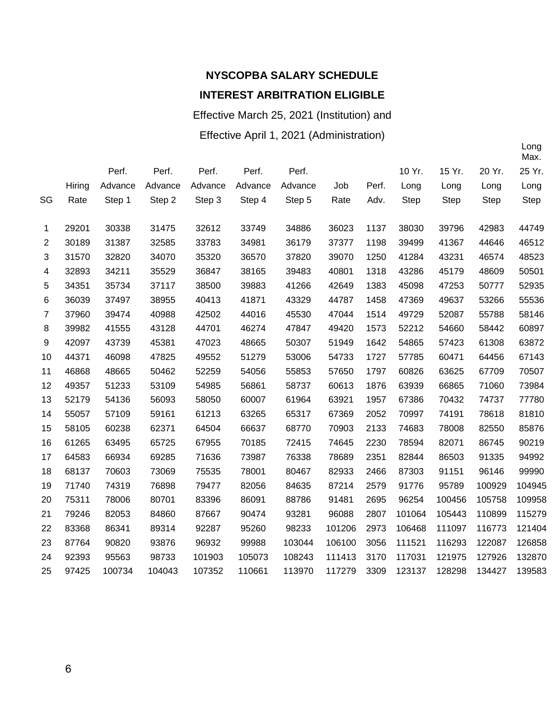Effective March 25, 2021 (Institution) and

Effective April 1, 2021 (Administration)

|    |        |         |         |         |         |         |        |       |             |        |             | Max.   |
|----|--------|---------|---------|---------|---------|---------|--------|-------|-------------|--------|-------------|--------|
|    |        | Perf.   | Perf.   | Perf.   | Perf.   | Perf.   |        |       | 10 Yr.      | 15 Yr. | 20 Yr.      | 25 Yr. |
|    | Hiring | Advance | Advance | Advance | Advance | Advance | Job    | Perf. | Long        | Long   | Long        | Long   |
| SG | Rate   | Step 1  | Step 2  | Step 3  | Step 4  | Step 5  | Rate   | Adv.  | <b>Step</b> | Step   | <b>Step</b> | Step   |
|    |        |         |         |         |         |         |        |       |             |        |             |        |
| 1  | 29201  | 30338   | 31475   | 32612   | 33749   | 34886   | 36023  | 1137  | 38030       | 39796  | 42983       | 44749  |
| 2  | 30189  | 31387   | 32585   | 33783   | 34981   | 36179   | 37377  | 1198  | 39499       | 41367  | 44646       | 46512  |
| 3  | 31570  | 32820   | 34070   | 35320   | 36570   | 37820   | 39070  | 1250  | 41284       | 43231  | 46574       | 48523  |
| 4  | 32893  | 34211   | 35529   | 36847   | 38165   | 39483   | 40801  | 1318  | 43286       | 45179  | 48609       | 50501  |
| 5  | 34351  | 35734   | 37117   | 38500   | 39883   | 41266   | 42649  | 1383  | 45098       | 47253  | 50777       | 52935  |
| 6  | 36039  | 37497   | 38955   | 40413   | 41871   | 43329   | 44787  | 1458  | 47369       | 49637  | 53266       | 55536  |
| 7  | 37960  | 39474   | 40988   | 42502   | 44016   | 45530   | 47044  | 1514  | 49729       | 52087  | 55788       | 58146  |
| 8  | 39982  | 41555   | 43128   | 44701   | 46274   | 47847   | 49420  | 1573  | 52212       | 54660  | 58442       | 60897  |
| 9  | 42097  | 43739   | 45381   | 47023   | 48665   | 50307   | 51949  | 1642  | 54865       | 57423  | 61308       | 63872  |
| 10 | 44371  | 46098   | 47825   | 49552   | 51279   | 53006   | 54733  | 1727  | 57785       | 60471  | 64456       | 67143  |
| 11 | 46868  | 48665   | 50462   | 52259   | 54056   | 55853   | 57650  | 1797  | 60826       | 63625  | 67709       | 70507  |
| 12 | 49357  | 51233   | 53109   | 54985   | 56861   | 58737   | 60613  | 1876  | 63939       | 66865  | 71060       | 73984  |
| 13 | 52179  | 54136   | 56093   | 58050   | 60007   | 61964   | 63921  | 1957  | 67386       | 70432  | 74737       | 77780  |
| 14 | 55057  | 57109   | 59161   | 61213   | 63265   | 65317   | 67369  | 2052  | 70997       | 74191  | 78618       | 81810  |
| 15 | 58105  | 60238   | 62371   | 64504   | 66637   | 68770   | 70903  | 2133  | 74683       | 78008  | 82550       | 85876  |
| 16 | 61265  | 63495   | 65725   | 67955   | 70185   | 72415   | 74645  | 2230  | 78594       | 82071  | 86745       | 90219  |
| 17 | 64583  | 66934   | 69285   | 71636   | 73987   | 76338   | 78689  | 2351  | 82844       | 86503  | 91335       | 94992  |
| 18 | 68137  | 70603   | 73069   | 75535   | 78001   | 80467   | 82933  | 2466  | 87303       | 91151  | 96146       | 99990  |
| 19 | 71740  | 74319   | 76898   | 79477   | 82056   | 84635   | 87214  | 2579  | 91776       | 95789  | 100929      | 104945 |
| 20 | 75311  | 78006   | 80701   | 83396   | 86091   | 88786   | 91481  | 2695  | 96254       | 100456 | 105758      | 109958 |
| 21 | 79246  | 82053   | 84860   | 87667   | 90474   | 93281   | 96088  | 2807  | 101064      | 105443 | 110899      | 115279 |
| 22 | 83368  | 86341   | 89314   | 92287   | 95260   | 98233   | 101206 | 2973  | 106468      | 111097 | 116773      | 121404 |
| 23 | 87764  | 90820   | 93876   | 96932   | 99988   | 103044  | 106100 | 3056  | 111521      | 116293 | 122087      | 126858 |
| 24 | 92393  | 95563   | 98733   | 101903  | 105073  | 108243  | 111413 | 3170  | 117031      | 121975 | 127926      | 132870 |
| 25 | 97425  | 100734  | 104043  | 107352  | 110661  | 113970  | 117279 | 3309  | 123137      | 128298 | 134427      | 139583 |
|    |        |         |         |         |         |         |        |       |             |        |             |        |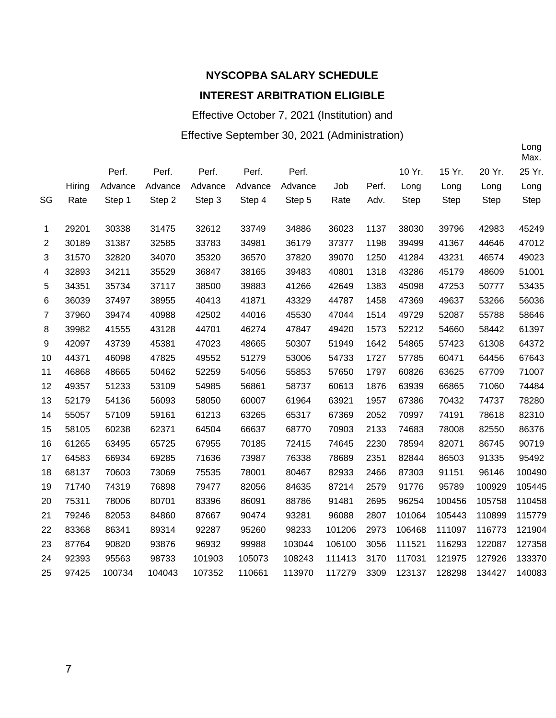# **NYSCOPBA SALARY SCHEDULE**

#### **INTEREST ARBITRATION ELIGIBLE**

Effective October 7, 2021 (Institution) and

#### Effective September 30, 2021 (Administration)

|    |        |         |         |         |         |         |        |       |        |             |             | Max.        |
|----|--------|---------|---------|---------|---------|---------|--------|-------|--------|-------------|-------------|-------------|
|    |        | Perf.   | Perf.   | Perf.   | Perf.   | Perf.   |        |       | 10 Yr. | 15 Yr.      | 20 Yr.      | 25 Yr.      |
|    | Hiring | Advance | Advance | Advance | Advance | Advance | Job    | Perf. | Long   | Long        | Long        | Long        |
| SG | Rate   | Step 1  | Step 2  | Step 3  | Step 4  | Step 5  | Rate   | Adv.  | Step   | <b>Step</b> | <b>Step</b> | <b>Step</b> |
|    |        |         |         |         |         |         |        |       |        |             |             |             |
| 1  | 29201  | 30338   | 31475   | 32612   | 33749   | 34886   | 36023  | 1137  | 38030  | 39796       | 42983       | 45249       |
| 2  | 30189  | 31387   | 32585   | 33783   | 34981   | 36179   | 37377  | 1198  | 39499  | 41367       | 44646       | 47012       |
| 3  | 31570  | 32820   | 34070   | 35320   | 36570   | 37820   | 39070  | 1250  | 41284  | 43231       | 46574       | 49023       |
| 4  | 32893  | 34211   | 35529   | 36847   | 38165   | 39483   | 40801  | 1318  | 43286  | 45179       | 48609       | 51001       |
| 5  | 34351  | 35734   | 37117   | 38500   | 39883   | 41266   | 42649  | 1383  | 45098  | 47253       | 50777       | 53435       |
| 6  | 36039  | 37497   | 38955   | 40413   | 41871   | 43329   | 44787  | 1458  | 47369  | 49637       | 53266       | 56036       |
| 7  | 37960  | 39474   | 40988   | 42502   | 44016   | 45530   | 47044  | 1514  | 49729  | 52087       | 55788       | 58646       |
| 8  | 39982  | 41555   | 43128   | 44701   | 46274   | 47847   | 49420  | 1573  | 52212  | 54660       | 58442       | 61397       |
| 9  | 42097  | 43739   | 45381   | 47023   | 48665   | 50307   | 51949  | 1642  | 54865  | 57423       | 61308       | 64372       |
| 10 | 44371  | 46098   | 47825   | 49552   | 51279   | 53006   | 54733  | 1727  | 57785  | 60471       | 64456       | 67643       |
| 11 | 46868  | 48665   | 50462   | 52259   | 54056   | 55853   | 57650  | 1797  | 60826  | 63625       | 67709       | 71007       |
| 12 | 49357  | 51233   | 53109   | 54985   | 56861   | 58737   | 60613  | 1876  | 63939  | 66865       | 71060       | 74484       |
| 13 | 52179  | 54136   | 56093   | 58050   | 60007   | 61964   | 63921  | 1957  | 67386  | 70432       | 74737       | 78280       |
| 14 | 55057  | 57109   | 59161   | 61213   | 63265   | 65317   | 67369  | 2052  | 70997  | 74191       | 78618       | 82310       |
| 15 | 58105  | 60238   | 62371   | 64504   | 66637   | 68770   | 70903  | 2133  | 74683  | 78008       | 82550       | 86376       |
| 16 | 61265  | 63495   | 65725   | 67955   | 70185   | 72415   | 74645  | 2230  | 78594  | 82071       | 86745       | 90719       |
| 17 | 64583  | 66934   | 69285   | 71636   | 73987   | 76338   | 78689  | 2351  | 82844  | 86503       | 91335       | 95492       |
| 18 | 68137  | 70603   | 73069   | 75535   | 78001   | 80467   | 82933  | 2466  | 87303  | 91151       | 96146       | 100490      |
| 19 | 71740  | 74319   | 76898   | 79477   | 82056   | 84635   | 87214  | 2579  | 91776  | 95789       | 100929      | 105445      |
| 20 | 75311  | 78006   | 80701   | 83396   | 86091   | 88786   | 91481  | 2695  | 96254  | 100456      | 105758      | 110458      |
| 21 | 79246  | 82053   | 84860   | 87667   | 90474   | 93281   | 96088  | 2807  | 101064 | 105443      | 110899      | 115779      |
| 22 | 83368  | 86341   | 89314   | 92287   | 95260   | 98233   | 101206 | 2973  | 106468 | 111097      | 116773      | 121904      |
| 23 | 87764  | 90820   | 93876   | 96932   | 99988   | 103044  | 106100 | 3056  | 111521 | 116293      | 122087      | 127358      |
| 24 | 92393  | 95563   | 98733   | 101903  | 105073  | 108243  | 111413 | 3170  | 117031 | 121975      | 127926      | 133370      |
| 25 | 97425  | 100734  | 104043  | 107352  | 110661  | 113970  | 117279 | 3309  | 123137 | 128298      | 134427      | 140083      |
|    |        |         |         |         |         |         |        |       |        |             |             |             |